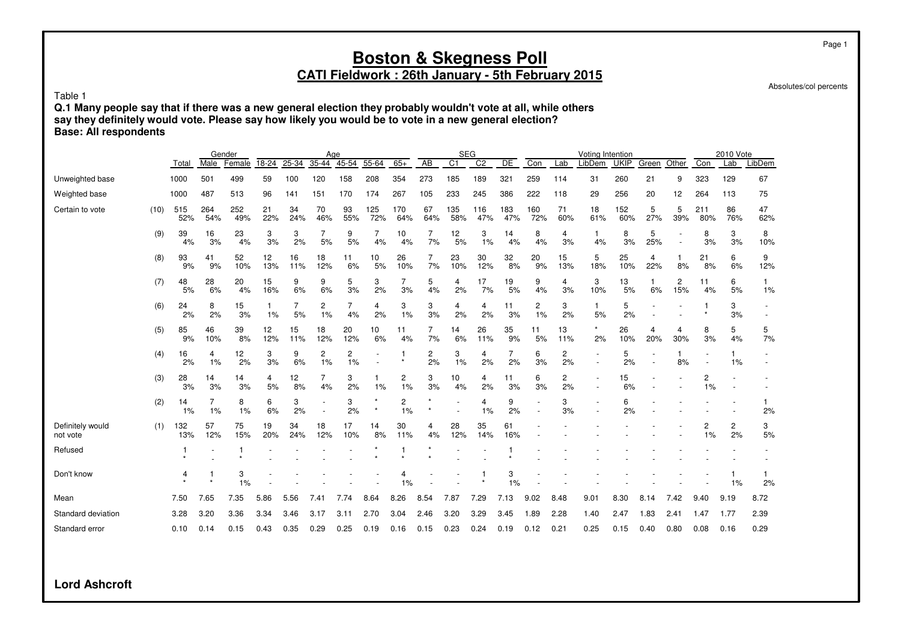# **CATI Fieldwork : 26th January - 5th February 2015**

Absolutes/col percents

Table 1

**Q.1 Many people say that if there was a new general election they probably wouldn't vote at all, while others say they definitely would vote. Please say how likely you would be to vote in a new general election? Base: All respondents**

|                              |      |            |               | Gender     |           |           |           | Age       |            |                      |                      | <b>SEG</b>      |                |            |            |           | Voting Intention |             |          |          |            | 2010 Vote |           |
|------------------------------|------|------------|---------------|------------|-----------|-----------|-----------|-----------|------------|----------------------|----------------------|-----------------|----------------|------------|------------|-----------|------------------|-------------|----------|----------|------------|-----------|-----------|
|                              |      | Total      | Male          | Female     | 18-24     | $25 - 34$ | $35 - 44$ | $45-54$   | $55 - 64$  | $65+$                | <b>AB</b>            | $\overline{C1}$ | C <sub>2</sub> | DE         | Con        | Lab       | LibDem           | <b>UKIP</b> | Green    | Other    | Con        | Lab       | LibDem    |
| Unweighted base              |      | 1000       | 501           | 499        | 59        | 100       | 120       | 158       | 208        | 354                  | 273                  | 185             | 189            | 321        | 259        | 114       | 31               | 260         | 21       | 9        | 323        | 129       | 67        |
| Weighted base                |      | 1000       | 487           | 513        | 96        | 141       | 151       | 170       | 174        | 267                  | 105                  | 233             | 245            | 386        | 222        | 118       | 29               | 256         | 20       | 12       | 264        | 113       | 75        |
| Certain to vote              | (10) | 515<br>52% | 264<br>54%    | 252<br>49% | 21<br>22% | 34<br>24% | 70<br>46% | 93<br>55% | 125<br>72% | 170<br>64%           | 67<br>64%            | 135<br>58%      | 116<br>47%     | 183<br>47% | 160<br>72% | 71<br>60% | 18<br>61%        | 152<br>60%  | 5<br>27% | 5<br>39% | 211<br>80% | 86<br>76% | 47<br>62% |
|                              | (9)  | 39<br>4%   | 16<br>3%      | 23<br>4%   | 3<br>3%   | 3<br>2%   | 7<br>5%   | 9<br>5%   | 7<br>4%    | 10<br>4%             | 7<br>7%              | 12<br>5%        | 3<br>1%        | 14<br>4%   | 8<br>4%    | 4<br>3%   | 1<br>4%          | 8<br>3%     | 5<br>25% |          | 8<br>3%    | 3<br>3%   | 8<br>10%  |
|                              | (8)  | 93<br>9%   | 41<br>9%      | 52<br>10%  | 12<br>13% | 16<br>11% | 18<br>12% | 11<br>6%  | 10<br>5%   | 26<br>10%            | 7<br>7%              | 23<br>10%       | 30<br>12%      | 32<br>8%   | 20<br>9%   | 15<br>13% | 5<br>18%         | 25<br>10%   | 4<br>22% | 1<br>8%  | 21<br>8%   | 6<br>6%   | 9<br>12%  |
|                              | (7)  | 48<br>5%   | 28<br>6%      | 20<br>4%   | 15<br>16% | 9<br>6%   | 9<br>6%   | 5<br>3%   | 3<br>2%    | 7<br>3%              | 5<br>4%              | 4<br>2%         | 17<br>7%       | 19<br>5%   | 9<br>4%    | 4<br>3%   | 3<br>10%         | 13<br>5%    | 6%       | 2<br>15% | 11<br>4%   | 6<br>5%   | 1%        |
|                              | (6)  | 24<br>2%   | 8<br>2%       | 15<br>3%   | 1<br>1%   | 7<br>5%   | 2<br>1%   | 7<br>4%   | 4<br>2%    | 3<br>1%              | 3<br>3%              | 4<br>2%         | 4<br>2%        | 11<br>3%   | 2<br>1%    | 3<br>2%   | 1<br>5%          | 5<br>2%     |          |          |            | 3<br>3%   |           |
|                              | (5)  | 85<br>9%   | 46<br>10%     | 39<br>8%   | 12<br>12% | 15<br>11% | 18<br>12% | 20<br>12% | 10<br>6%   | 11<br>4%             | 7<br>7%              | 14<br>6%        | 26<br>11%      | 35<br>9%   | 11<br>5%   | 13<br>11% | $\star$<br>2%    | 26<br>10%   | 4<br>20% | 4<br>30% | 8<br>3%    | 5<br>4%   | 5<br>7%   |
|                              | (4)  | 16<br>2%   | 4<br>1%       | 12<br>2%   | 3<br>3%   | 9<br>6%   | 2<br>1%   | 2<br>1%   |            |                      | $\overline{c}$<br>2% | 3<br>1%         | 4<br>2%        | 7<br>2%    | 6<br>3%    | 2<br>2%   |                  | 5<br>2%     |          | 1<br>8%  |            | 1%        |           |
|                              | (3)  | 28<br>3%   | 14<br>3%      | 14<br>3%   | 4<br>5%   | 12<br>8%  | 7<br>4%   | 3<br>2%   | 1%         | 2<br>1%              | 3<br>3%              | 10<br>4%        | 4<br>2%        | 11<br>3%   | 6<br>3%    | 2<br>2%   |                  | 15<br>6%    |          |          | 2<br>1%    |           |           |
|                              | (2)  | 14<br>1%   | 7<br>1%       | 8<br>1%    | 6<br>6%   | 3<br>2%   |           | 3<br>2%   |            | $\overline{c}$<br>1% |                      |                 | 4<br>1%        | 9<br>2%    |            | 3<br>3%   |                  | 6<br>2%     |          |          |            |           | 2%        |
| Definitely would<br>not vote | (1)  | 132<br>13% | 57<br>12%     | 75<br>15%  | 19<br>20% | 34<br>24% | 18<br>12% | 17<br>10% | 14<br>8%   | 30<br>11%            | 4<br>4%              | 28<br>12%       | 35<br>14%      | 61<br>16%  |            |           |                  |             |          |          | 2<br>1%    | 2<br>2%   | 3<br>$5%$ |
| Refused                      |      |            |               |            |           |           |           |           |            |                      |                      |                 |                |            |            |           |                  |             |          |          |            |           |           |
| Don't know                   |      | 4          | -1<br>$\star$ | 3<br>1%    |           |           |           |           |            | 4<br>1%              |                      |                 |                | 3<br>1%    |            |           |                  |             |          |          |            | 1%        | 2%        |
| Mean                         |      | 7.50       | 7.65          | 7.35       | 5.86      | 5.56      | 7.41      | 7.74      | 8.64       | 8.26                 | 8.54                 | 7.87            | 7.29           | 7.13       | 9.02       | 8.48      | 9.01             | 8.30        | 8.14     | 7.42     | 9.40       | 9.19      | 8.72      |
| Standard deviation           |      | 3.28       | 3.20          | 3.36       | 3.34      | 3.46      | 3.17      | 3.11      | 2.70       | 3.04                 | 2.46                 | 3.20            | 3.29           | 3.45       | 1.89       | 2.28      | 1.40             | 2.47        | 1.83     | 2.41     | 1.47       | 1.77      | 2.39      |
| Standard error               |      | 0.10       | 0.14          | 0.15       | 0.43      | 0.35      | 0.29      | 0.25      | 0.19       | 0.16                 | 0.15                 | 0.23            | 0.24           | 0.19       | 0.12       | 0.21      | 0.25             | 0.15        | 0.40     | 0.80     | 0.08       | 0.16      | 0.29      |

**Lord Ashcroft**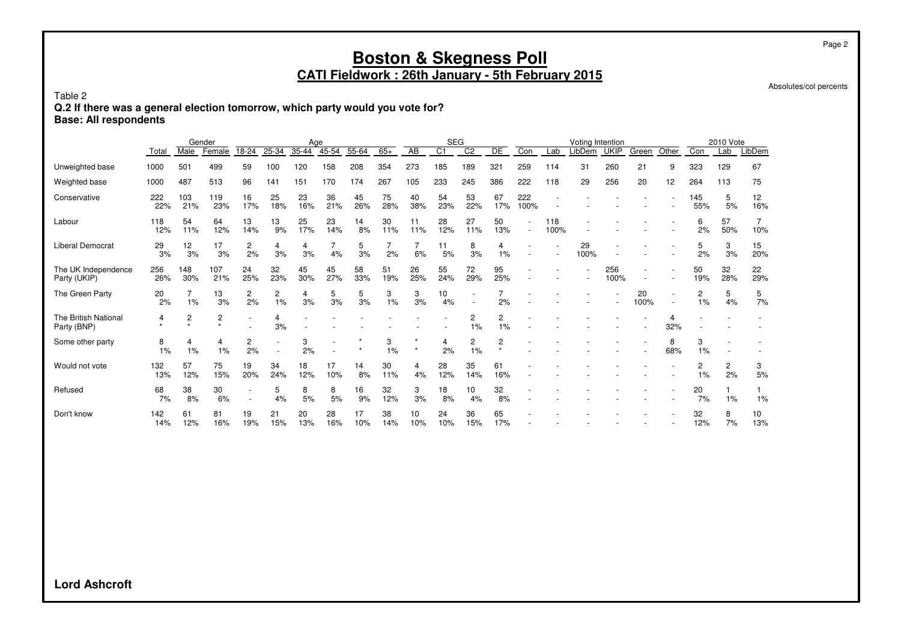Absolutes/col percents

Table 2

**Q.2 If there was a general election tomorrow, which party would you vote for?**

**Base: All respondents**

|                                     |            | Male         | Gender<br>Female | 18-24     | 25-34                | Age<br>$35 - 44$ | $45 - 54$ | 55-64     | $65+$     | AB        | <b>SEG</b><br>$\overline{C1}$ | C <sub>2</sub> | DE             | Con         | Lab                      | Voting Intention<br>LibDem | <b>UKIP</b> | Green      | Other                    | Con        | 2010 Vote<br>Lab     | LibDem    |
|-------------------------------------|------------|--------------|------------------|-----------|----------------------|------------------|-----------|-----------|-----------|-----------|-------------------------------|----------------|----------------|-------------|--------------------------|----------------------------|-------------|------------|--------------------------|------------|----------------------|-----------|
|                                     | Total      |              |                  |           |                      |                  |           |           |           |           |                               |                |                |             |                          |                            |             |            |                          |            |                      |           |
| Unweighted base                     | 1000       | 501          | 499              | 59        | 100                  | 120              | 158       | 208       | 354       | 273       | 185                           | 189            | 321            | 259         | 114                      | 31                         | 260         | 21         | 9                        | 323        | 129                  | 67        |
| Weighted base                       | 1000       | 487          | 513              | 96        | 141                  | 151              | 170       | 174       | 267       | 105       | 233                           | 245            | 386            | 222         | 118                      | 29                         | 256         | 20         | 12                       | 264        | 113                  | 75        |
| Conservative                        | 222<br>22% | 103<br>21%   | 119<br>23%       | 16<br>17% | 25<br>18%            | 23<br>16%        | 36<br>21% | 45<br>26% | 75<br>28% | 40<br>38% | 54<br>23%                     | 53<br>22%      | 67<br>17%      | 222<br>100% |                          |                            |             |            |                          | 145<br>55% | 5<br>5%              | 12<br>16% |
| Labour                              | 118<br>12% | 54<br>11%    | 64<br>12%        | 13<br>14% | 13<br>9%             | 25<br>17%        | 23<br>14% | 14<br>8%  | 30<br>11% | 11<br>11% | 28<br>12%                     | 27<br>11%      | 50<br>13%      |             | 118<br>100%              |                            |             |            |                          | 6<br>2%    | 57<br>50%            | 10%       |
| <b>Liberal Democrat</b>             | 29<br>3%   | 12<br>3%     | 17<br>3%         | 2<br>2%   | 4<br>3%              | 4<br>3%          | 4%        | 5<br>3%   | 2%        | 6%        | 11<br>5%                      | 8<br>3%        | 4<br>1%        |             | $\overline{\phantom{a}}$ | 29<br>100%                 |             |            |                          | 5<br>2%    | 3<br>3%              | 15<br>20% |
| The UK Independence<br>Party (UKIP) | 256<br>26% | 148<br>30%   | 107<br>21%       | 24<br>25% | 32<br>23%            | 45<br>30%        | 45<br>27% | 58<br>33% | 51<br>19% | 26<br>25% | 55<br>24%                     | 72<br>29%      | 95<br>25%      |             |                          |                            | 256<br>100% |            | $\overline{\phantom{a}}$ | 50<br>19%  | 32<br>28%            | 22<br>29% |
| The Green Party                     | 20<br>2%   | 1%           | 13<br>3%         | 2<br>2%   | $\overline{2}$<br>1% | 4<br>3%          | 5<br>3%   | 5<br>3%   | 3<br>1%   | 3<br>3%   | 10<br>4%                      | ٠              | 2%             |             |                          |                            |             | 20<br>100% | $\overline{\phantom{a}}$ | 2<br>1%    | 5<br>4%              | 5<br>7%   |
| The British National<br>Party (BNP) | 4          | 2<br>$\star$ | 2<br>$\bullet$   |           | 4<br>3%              |                  |           |           |           |           |                               | 2<br>1%        | 2<br>1%        |             |                          |                            |             |            | 32%                      |            |                      |           |
| Some other party                    | 8<br>1%    | 4<br>1%      | 4<br>1%          | 2<br>2%   |                      | 3<br>2%          |           |           | 3<br>1%   | $\star$   | 4<br>2%                       | 2<br>1%        | $\overline{c}$ |             |                          |                            |             |            | 8<br>68%                 | 3<br>1%    |                      |           |
| Would not vote                      | 132<br>13% | 57<br>12%    | 75<br>15%        | 19<br>20% | 34<br>24%            | 18<br>12%        | 17<br>10% | 14<br>8%  | 30<br>11% | 4<br>4%   | 28<br>12%                     | 35<br>14%      | 61<br>16%      |             |                          |                            |             |            |                          | 2<br>$1\%$ | $\overline{c}$<br>2% | 3<br>5%   |
| Refused                             | 68<br>7%   | 38<br>8%     | 30<br>6%         |           | 5<br>4%              | 8<br>5%          | 8<br>5%   | 16<br>9%  | 32<br>12% | 3<br>3%   | 18<br>8%                      | 10<br>4%       | 32<br>8%       |             |                          |                            |             |            |                          | 20<br>7%   | 1%                   | 1%        |
| Don't know                          | 142<br>14% | 61<br>12%    | 81<br>16%        | 19<br>19% | 21<br>15%            | 20<br>13%        | 28<br>16% | 17<br>10% | 38<br>14% | 10<br>10% | 24<br>10%                     | 36<br>15%      | 65<br>17%      |             |                          |                            |             |            |                          | 32<br>12%  | 8<br>7%              | 10<br>13% |

**Lord Ashcroft**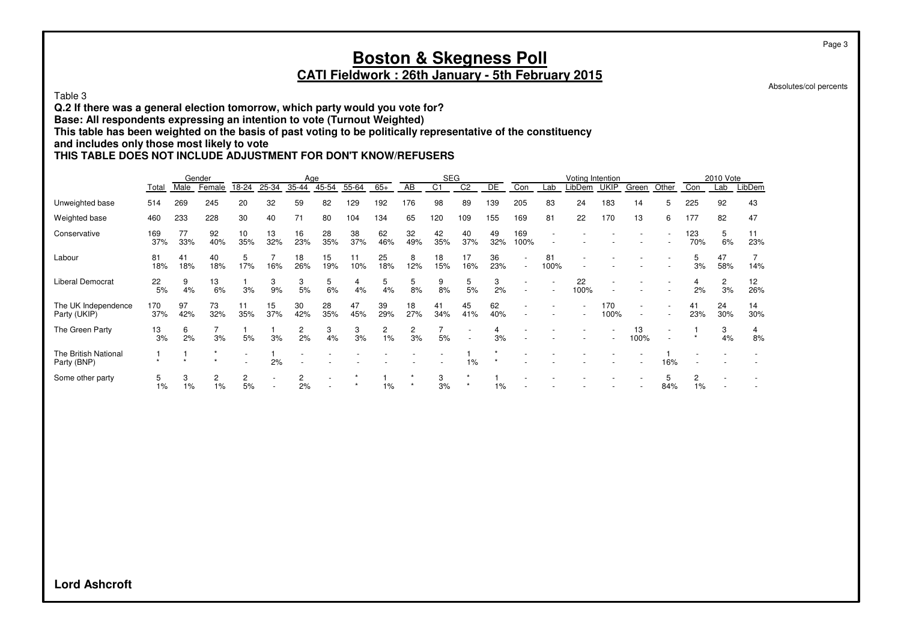#### **Boston & Skegness Poll CATI Fieldwork : 26th January - 5th February 2015**

Absolutes/col percents

Table 3

**Q.2 If there was a general election tomorrow, which party would you vote for?**

**Base: All respondents expressing an intention to vote (Turnout Weighted)**

**This table has been weighted on the basis of past voting to be politically representative of the constituency**

**and includes only those most likely to vote**

#### **THIS TABLE DOES NOT INCLUDE ADJUSTMENT FOR DON'T KNOW/REFUSERS**

|                                     |            |           | Gender     |           |           | Age       |           |           |           |           | <b>SEG</b>     |                |           |                          |                          | Voting Intention |             |                          |       |            | 2010 Vote            |           |
|-------------------------------------|------------|-----------|------------|-----------|-----------|-----------|-----------|-----------|-----------|-----------|----------------|----------------|-----------|--------------------------|--------------------------|------------------|-------------|--------------------------|-------|------------|----------------------|-----------|
|                                     | Total      | Male      | Female     | 18-24     | 25-34     | 35-44     | 45-54     | 55-64     | $65+$     | AB        | C <sub>1</sub> | C <sub>2</sub> | DE        | Con                      | Lab                      | LibDem           | <b>UKIP</b> | Green                    | Other | Con        | Lab                  | LibDem    |
| Unweighted base                     | 514        | 269       | 245        | 20        | 32        | 59        | 82        | 129       | 192       | 176       | 98             | 89             | 139       | 205                      | 83                       | 24               | 183         | 14                       | 5     | 225        | 92                   | 43        |
| Weighted base                       | 460        | 233       | 228        | 30        | 40        | 71        | 80        | 104       | 134       | 65        | 120            | 109            | 155       | 169                      | 81                       | 22               | 170         | 13                       | 6     | 177        | 82                   | 47        |
| Conservative                        | 169<br>37% | 77<br>33% | 92<br>40%  | 10<br>35% | 13<br>32% | 16<br>23% | 28<br>35% | 38<br>37% | 62<br>46% | 32<br>49% | 42<br>35%      | 40<br>37%      | 49<br>32% | 169<br>100%              |                          |                  |             |                          |       | 123<br>70% | 5<br>6%              | 11<br>23% |
| Labour                              | 81<br>18%  | 41<br>18% | 40<br>18%  | 5<br>17%  | 16%       | 18<br>26% | 15<br>19% | 10%       | 25<br>18% | 8<br>12%  | 18<br>15%      | 17<br>16%      | 36<br>23% | $\overline{\phantom{a}}$ | 81<br>100%               |                  |             |                          |       | 3%         | 47<br>58%            | 14%       |
| <b>Liberal Democrat</b>             | 22<br>5%   | 9<br>4%   | 13<br>6%   | 3%        | 3<br>9%   | 3<br>5%   | 5<br>6%   | 4<br>4%   | 5<br>4%   | 5<br>8%   | 9<br>8%        | 5<br>5%        | 3<br>2%   | $\overline{\phantom{a}}$ | $\overline{\phantom{a}}$ | 22<br>100%       |             |                          |       | 2%         | $\overline{c}$<br>3% | 12<br>26% |
| The UK Independence<br>Party (UKIP) | 170<br>37% | 97<br>42% | 73<br>32%  | 11<br>35% | 15<br>37% | 30<br>42% | 28<br>35% | 47<br>45% | 39<br>29% | 18<br>27% | 41<br>34%      | 45<br>41%      | 62<br>40% |                          |                          |                  | 170<br>100% | $\overline{\phantom{a}}$ |       | 41<br>23%  | 24<br>30%            | 14<br>30% |
| The Green Party                     | 13<br>3%   | 6<br>2%   | 3%         | 5%        | 3%        | 2<br>2%   | 3<br>4%   | 3<br>3%   | 2<br>1%   | 2<br>3%   | 5%             |                | 3%        |                          |                          |                  |             | 13<br>100%               |       |            | 3<br>4%              | 8%        |
| The British National<br>Party (BNP) |            |           |            |           | 2%        |           |           |           |           |           |                | 1%             |           |                          |                          |                  |             |                          | 16%   |            |                      |           |
| Some other party                    | 5<br>1%    | 3<br>1%   | 2<br>$1\%$ | 2<br>5%   |           | 2<br>2%   |           |           | 1%        |           | 3<br>3%        |                | 1%        |                          |                          |                  |             |                          | 84%   | $1\%$      |                      |           |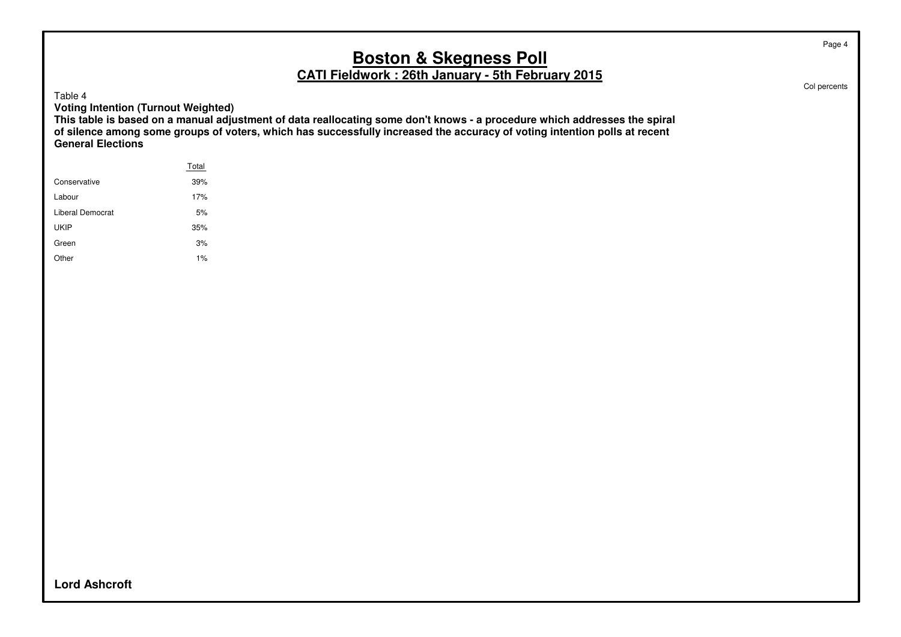Table 4

**Voting Intention (Turnout Weighted)**

**This table is based on a manual adjustment of data reallocating some don't knows - a procedure which addresses the spiral of silence among some groups of voters, which has successfully increased the accuracy of voting intention polls at recent General Elections**

|                  | Total |  |
|------------------|-------|--|
| Conservative     | 39%   |  |
| Labour           | 17%   |  |
| Liberal Democrat | 5%    |  |
| <b>UKIP</b>      | 35%   |  |
| Green            | 3%    |  |
| Other            | 1%    |  |
|                  |       |  |

Col percents

Page 4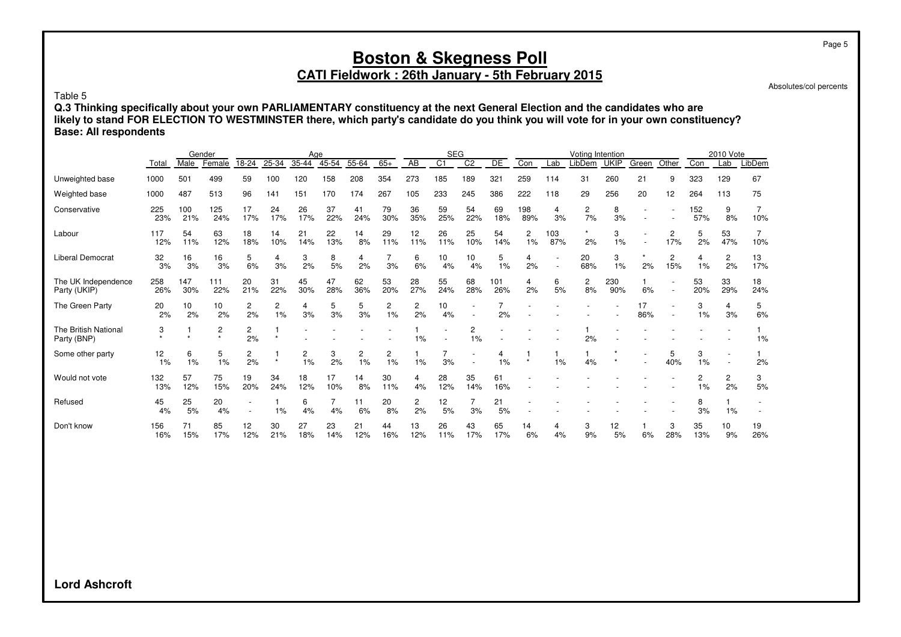# **CATI Fieldwork : 26th January - 5th February 2015**

Absolutes/col percents

Table 5

**Q.3 Thinking specifically about your own PARLIAMENTARY constituency at the next General Election and the candidates who are likely to stand FOR ELECTION TO WESTMINSTER there, which party's candidate do you think you will vote for in your own constituency? Base: All respondents**

|                                     |            |            | Gender                    |           |                      | Age       |           |                      |                      |           | <b>SEG</b>     |                 |            |                      |            | Voting Intention     |             |           |          |            | 2010 Vote            |           |
|-------------------------------------|------------|------------|---------------------------|-----------|----------------------|-----------|-----------|----------------------|----------------------|-----------|----------------|-----------------|------------|----------------------|------------|----------------------|-------------|-----------|----------|------------|----------------------|-----------|
|                                     | Total      | Male       | Female                    | 18-24     | 25-34                | 35-44     | $45 - 54$ | 55-64                | $65+$                | AB        | C <sub>1</sub> | $\overline{C2}$ | DE         | Con                  | Lab        | LibDem               | <b>UKIP</b> | Green     | Other    | Con        | Lab                  | LibDem    |
| Unweighted base                     | 1000       | 501        | 499                       | 59        | 100                  | 120       | 158       | 208                  | 354                  | 273       | 185            | 189             | 321        | 259                  | 114        | 31                   | 260         | 21        | 9        | 323        | 129                  | 67        |
| Weighted base                       | 1000       | 487        | 513                       | 96        | 141                  | 151       | 170       | 174                  | 267                  | 105       | 233            | 245             | 386        | 222                  | 118        | 29                   | 256         | 20        | 12       | 264        | 113                  | 75        |
| Conservative                        | 225<br>23% | 100<br>21% | 125<br>24%                | 17<br>17% | 24<br>17%            | 26<br>17% | 37<br>22% | 41<br>24%            | 79<br>30%            | 36<br>35% | 59<br>25%      | 54<br>22%       | 69<br>18%  | 198<br>89%           | 4<br>3%    | $\overline{c}$<br>7% | 8<br>3%     |           |          | 152<br>57% | 9<br>8%              | 10%       |
| Labour                              | 117<br>12% | 54<br>11%  | 63<br>12%                 | 18<br>18% | 14<br>10%            | 21<br>14% | 22<br>13% | 14<br>8%             | 29<br>11%            | 12<br>11% | 26<br>11%      | 25<br>10%       | 54<br>14%  | $\overline{c}$<br>1% | 103<br>87% | 2%                   | 3<br>1%     |           | 2<br>17% | 5<br>2%    | 53<br>47%            | 7<br>10%  |
| Liberal Democrat                    | 32<br>3%   | 16<br>3%   | 16<br>3%                  | 5<br>6%   | 4<br>3%              | 3<br>2%   | 8<br>5%   | 4<br>2%              | 3%                   | 6<br>6%   | 10<br>4%       | 10<br>4%        | 5<br>1%    | 4<br>2%              |            | 20<br>68%            | 3<br>1%     | 2%        | 2<br>15% | 4<br>1%    | 2<br>2%              | 13<br>17% |
| The UK Independence<br>Party (UKIP) | 258<br>26% | 147<br>30% | 111<br>22%                | 20<br>21% | 31<br>22%            | 45<br>30% | 47<br>28% | 62<br>36%            | 53<br>20%            | 28<br>27% | 55<br>24%      | 68<br>28%       | 101<br>26% | 4<br>2%              | 6<br>5%    | 2<br>8%              | 230<br>90%  | 6%        |          | 53<br>20%  | 33<br>29%            | 18<br>24% |
| The Green Party                     | 20<br>2%   | 10<br>2%   | 10<br>2%                  | 2<br>2%   | $\overline{c}$<br>1% | 4<br>3%   | 5<br>3%   | 5<br>3%              | 2<br>1%              | 2<br>2%   | 10<br>4%       |                 | 2%         |                      |            |                      |             | 17<br>86% |          | 3<br>1%    | $\overline{4}$<br>3% | 5<br>6%   |
| The British National<br>Party (BNP) | 3          |            | 2<br>$\ddot{\phantom{a}}$ | 2<br>2%   | $\star$              |           |           |                      |                      | 1%        |                | 2<br>1%         |            |                      |            | 2%                   |             |           |          |            |                      | 1%        |
| Some other party                    | 12<br>1%   | 6<br>1%    | 5<br>1%                   | 2<br>2%   | $\star$              | 2<br>1%   | 3<br>2%   | $\overline{c}$<br>1% | $\overline{c}$<br>1% | 1%        | 3%             |                 | 4<br>1%    | $\star$              | 1%         | 4%                   |             |           | 5<br>40% | 3<br>1%    |                      | 2%        |
| Would not vote                      | 132<br>13% | 57<br>12%  | 75<br>15%                 | 19<br>20% | 34<br>24%            | 18<br>12% | 17<br>10% | 14<br>8%             | 30<br>11%            | 4<br>4%   | 28<br>12%      | 35<br>14%       | 61<br>16%  |                      |            |                      |             |           |          | 2<br>1%    | $\overline{c}$<br>2% | 3<br>5%   |
| Refused                             | 45<br>4%   | 25<br>5%   | 20<br>4%                  |           | 1%                   | 6<br>4%   | 4%        | 11<br>6%             | 20<br>8%             | 2<br>2%   | 12<br>5%       | 3%              | 21<br>5%   |                      |            |                      |             |           |          | 8<br>3%    | 1%                   |           |
| Don't know                          | 156<br>16% | 71<br>15%  | 85<br>17%                 | 12<br>12% | 30<br>21%            | 27<br>18% | 23<br>14% | 21<br>12%            | 44<br>16%            | 13<br>12% | 26<br>11%      | 43<br>17%       | 65<br>17%  | 14<br>6%             | 4<br>4%    | 3<br>9%              | 12<br>5%    | 6%        | 3<br>28% | 35<br>13%  | 10<br>9%             | 19<br>26% |

**Lord Ashcroft**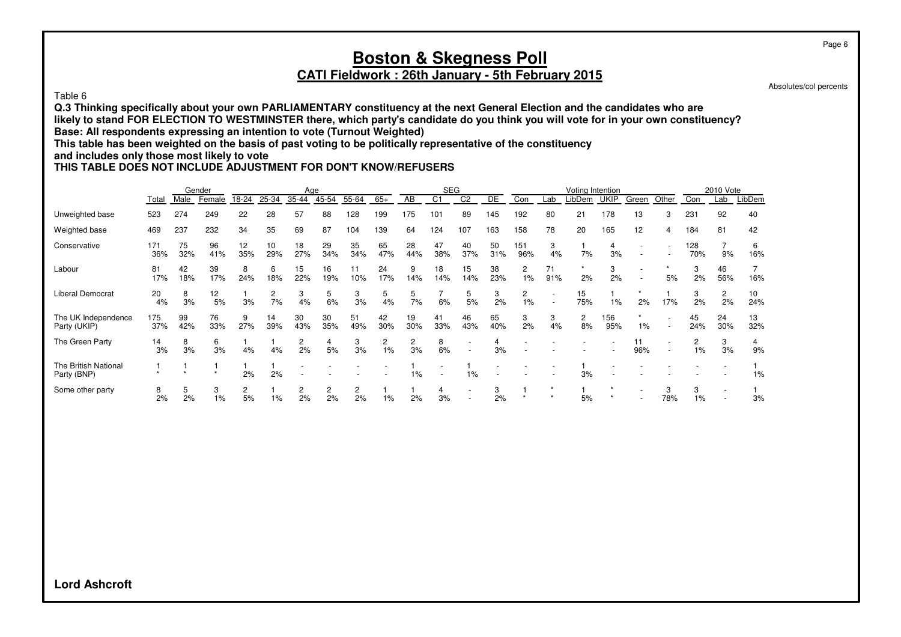#### Table 6

**Q.3 Thinking specifically about your own PARLIAMENTARY constituency at the next General Election and the candidates who are likely to stand FOR ELECTION TO WESTMINSTER there, which party's candidate do you think you will vote for in your own constituency? Base: All respondents expressing an intention to vote (Turnout Weighted)**

**This table has been weighted on the basis of past voting to be politically representative of the constituency**

#### **and includes only those most likely to vote**

#### **THIS TABLE DOES NOT INCLUDE ADJUSTMENT FOR DON'T KNOW/REFUSERS**

|                                     |            |           | Gender     |           |           | Age       |           |           |           |           | <b>SEG</b>     |           |           |                      |           | Voting Intention |             |       |                          |            | 2010 Vote |           |
|-------------------------------------|------------|-----------|------------|-----------|-----------|-----------|-----------|-----------|-----------|-----------|----------------|-----------|-----------|----------------------|-----------|------------------|-------------|-------|--------------------------|------------|-----------|-----------|
|                                     | Total      | Male      | Female     | 18-24     | 25-34     | 35-44     | 45-54     | 55-64     | $65+$     | AB        | C <sub>1</sub> | C2        | DE        | Con                  | Lab       | _ibDem           | <b>UKIP</b> | Green | Other                    | Con        | Lab       | LibDem    |
| Unweighted base                     | 523        | 274       | 249        | 22        | 28        | 57        | 88        | 128       | 199       | 175       | 101            | 89        | 145       | 192                  | 80        | 21               | 178         | 13    | 3                        | 231        | 92        | 40        |
| Weighted base                       | 469        | 237       | 232        | 34        | 35        | 69        | 87        | 104       | 139       | 64        | 124            | 107       | 163       | 158                  | 78        | 20               | 165         | 12    | 4                        | 184        | 81        | 42        |
| Conservative                        | 171<br>36% | 75<br>32% | 96<br>41%  | 12<br>35% | 10<br>29% | 18<br>27% | 29<br>34% | 35<br>34% | 65<br>47% | 28<br>44% | 47<br>38%      | 40<br>37% | 50<br>31% | 151<br>96%           | 3<br>4%   | 7%               | 4<br>3%     |       |                          | 128<br>70% | 9%        | 6<br>16%  |
| Labour                              | 81<br>17%  | 42<br>18% | 39<br>17%  | 8<br>24%  | 6<br>18%  | 15<br>22% | 16<br>19% | 11<br>10% | 24<br>17% | 9<br>14%  | 18<br>14%      | 15<br>14% | 38<br>23% | 2<br>1%              | 71<br>91% | 2%               | 3<br>2%     |       | 5%                       | 3<br>2%    | 46<br>56% | 16%       |
| <b>Liberal Democrat</b>             | 20<br>4%   | 8<br>3%   | 12<br>5%   | 3%        | 2<br>7%   | 3<br>4%   | 5<br>6%   | 3<br>3%   | 5<br>4%   | 5<br>7%   | 6%             | 5<br>5%   | 3<br>2%   | $\overline{2}$<br>1% |           | 15<br>75%        | 1%          | 2%    | 17%                      | 3<br>2%    | 2<br>2%   | 10<br>24% |
| The UK Independence<br>Party (UKIP) | 175<br>37% | 99<br>42% | 76<br>33%  | 9<br>27%  | 14<br>39% | 30<br>43% | 30<br>35% | 51<br>49% | 42<br>30% | 19<br>30% | 41<br>33%      | 46<br>43% | 65<br>40% | 3<br>2%              | 3<br>4%   | 2<br>8%          | 156<br>95%  | $1\%$ | $\overline{\phantom{a}}$ | 45<br>24%  | 24<br>30% | 13<br>32% |
| The Green Party                     | 14<br>3%   | 8<br>3%   | 6<br>3%    | 4%        | 4%        | 2<br>2%   | 5%        | 3<br>3%   | 2<br>1%   | 2<br>3%   | 8<br>6%        |           | 4<br>3%   |                      |           |                  |             | 96%   |                          | 1%         | 3<br>3%   | 9%        |
| The British National<br>Party (BNP) |            |           |            | 2%        | 2%        |           |           |           |           | 1%        |                | $1\%$     |           |                      |           | 3%               |             |       |                          |            |           | 1%        |
| Some other party                    | 8<br>2%    | 5<br>2%   | 3<br>$1\%$ | 2<br>5%   | $1\%$     | 2<br>2%   | 2<br>2%   | 2<br>2%   | $1\%$     | 2%        | 3%             |           | 3<br>2%   |                      |           | 5%               |             |       | 3<br>78%                 | 3<br>1%    |           | 3%        |

Page 6

Absolutes/col percents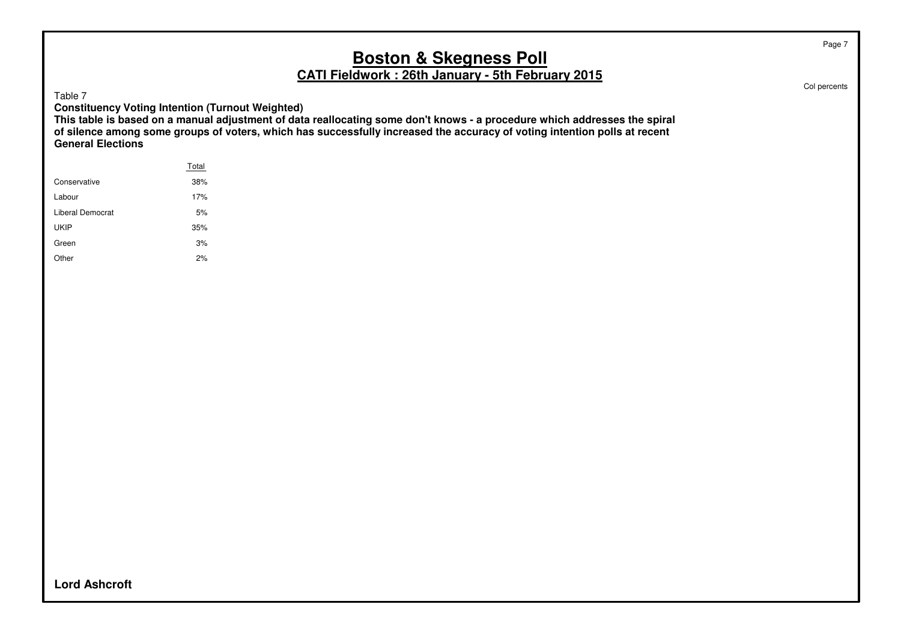Table 7

**Constituency Voting Intention (Turnout Weighted)**

**This table is based on a manual adjustment of data reallocating some don't knows - a procedure which addresses the spiral of silence among some groups of voters, which has successfully increased the accuracy of voting intention polls at recent General Elections**

|                  | Total |
|------------------|-------|
| Conservative     | 38%   |
| Labour           | 17%   |
| Liberal Democrat | 5%    |
| <b>UKIP</b>      | 35%   |
| Green            | 3%    |
| Other            | 2%    |
|                  |       |

Col percents

**Lord Ashcroft**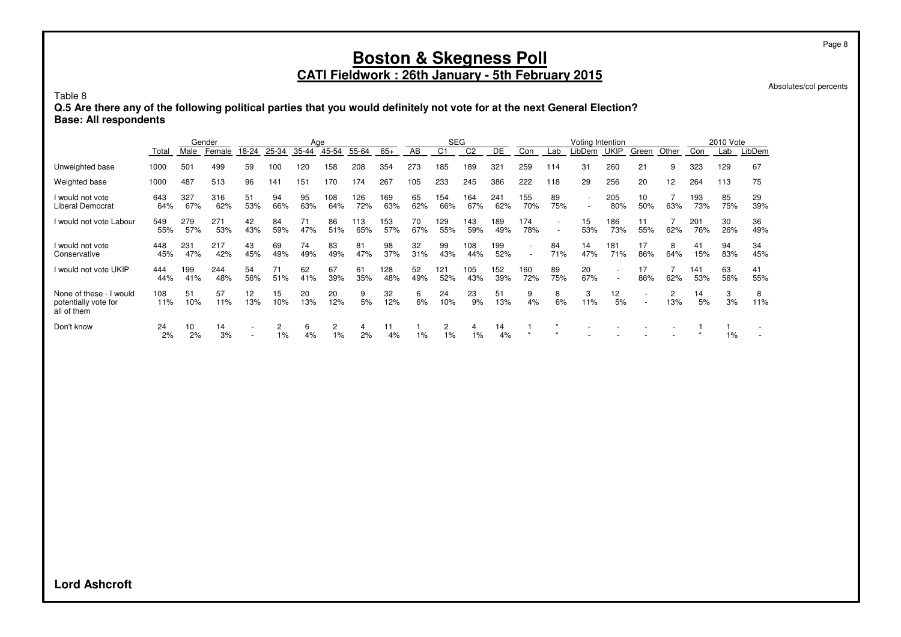#### **CATI Fieldwork : 26th January - 5th February 2015**

Absolutes/col percents

Page 8

Table 8

**Q.5 Are there any of the following political parties that you would definitely not vote for at the next General Election? Base: All respondents**

|                                                                |            |            | Gender     |                          |           | Age       |            |            |            |           | <b>SEG</b> |                |            |                                                      |                                                      | Voting Intention         |             |                          |                 |            | 2010 Vote |           |
|----------------------------------------------------------------|------------|------------|------------|--------------------------|-----------|-----------|------------|------------|------------|-----------|------------|----------------|------------|------------------------------------------------------|------------------------------------------------------|--------------------------|-------------|--------------------------|-----------------|------------|-----------|-----------|
|                                                                | Total      | Male       | Female     | 18-24                    | 25-34     | $35 - 44$ | 45-54      | 55-64      | $65+$      | AB        | C1         | C <sub>2</sub> | DE         | Con                                                  | Lab                                                  | -ibDem                   | <b>UKIP</b> | Green                    | Other           | Con        | Lab       | LibDem    |
| Unweighted base                                                | 1000       | 501        | 499        | 59                       | 100       | 120       | 158        | 208        | 354        | 273       | 185        | 189            | 321        | 259                                                  | 114                                                  | 31                       | 260         | 21                       | 9               | 323        | 129       | 67        |
| Weighted base                                                  | 1000       | 487        | 513        | 96                       | 141       | 151       | 170        | 174        | 267        | 105       | 233        | 245            | 386        | 222                                                  | 118                                                  | 29                       | 256         | 20                       | 12 <sup>2</sup> | 264        | 113       | 75        |
| I would not vote<br><b>Liberal Democrat</b>                    | 643<br>64% | 327<br>67% | 316<br>62% | 51<br>53%                | 94<br>66% | 95<br>63% | 108<br>64% | 126<br>72% | 169<br>63% | 65<br>62% | 154<br>66% | 164<br>67%     | 241<br>62% | 155<br>70%                                           | 89<br>75%                                            | $\overline{\phantom{0}}$ | 205<br>80%  | 10<br>50%                | 63%             | 193<br>73% | 85<br>75% | 29<br>39% |
| I would not vote Labour                                        | 549<br>55% | 279<br>57% | 271<br>53% | 42<br>43%                | 84<br>59% | 71<br>47% | 86<br>51%  | 113<br>65% | 153<br>57% | 70<br>67% | 129<br>55% | 143<br>59%     | 189<br>49% | 174<br>78%                                           | $\overline{\phantom{a}}$<br>$\overline{\phantom{a}}$ | 15<br>53%                | 186<br>73%  | 11<br>55%                | 62%             | 201<br>76% | 30<br>26% | 36<br>49% |
| I would not vote<br>Conservative                               | 448<br>45% | 231<br>47% | 217<br>42% | 43<br>45%                | 69<br>49% | 74<br>49% | 83<br>49%  | 81<br>47%  | 98<br>37%  | 32<br>31% | 99<br>43%  | 108<br>44%     | 199<br>52% | $\overline{\phantom{a}}$<br>$\overline{\phantom{a}}$ | 84<br>71%                                            | 14<br>47%                | 181<br>71%  | 17<br>86%                | 8<br>64%        | 41<br>15%  | 94<br>83% | 34<br>45% |
| I would not vote UKIP                                          | 444<br>44% | 199<br>41% | 244<br>48% | 54<br>56%                | 71<br>51% | 62<br>41% | 67<br>39%  | 61<br>35%  | 128<br>48% | 52<br>49% | 121<br>52% | 105<br>43%     | 152<br>39% | 160<br>72%                                           | 89<br>75%                                            | 20<br>67%                |             | 17<br>86%                | 62%             | 141<br>53% | 63<br>56% | 41<br>55% |
| None of these - I would<br>potentially vote for<br>all of them | 108<br>11% | 51<br>10%  | 57<br>11%  | 12<br>13%                | 15<br>10% | 20<br>13% | 20<br>12%  | 9<br>5%    | 32<br>12%  | 6<br>6%   | 24<br>10%  | 23<br>9%       | 51<br>13%  | 9<br>4%                                              | 8<br>6%                                              | 3<br>11%                 | 12<br>5%    | $\overline{\phantom{a}}$ | 2<br>13%        | 14<br>5%   | 3<br>3%   | 8<br>11%  |
| Don't know                                                     | 24<br>2%   | 10<br>2%   | 14<br>3%   | $\overline{\phantom{a}}$ | 2<br>1%   | 6<br>4%   | 2<br>$1\%$ | 4<br>2%    | 11<br>4%   | 1%        | 2<br>1%    | 4<br>1%        | 14<br>4%   |                                                      | $\star$                                              |                          |             |                          |                 |            | 1%        |           |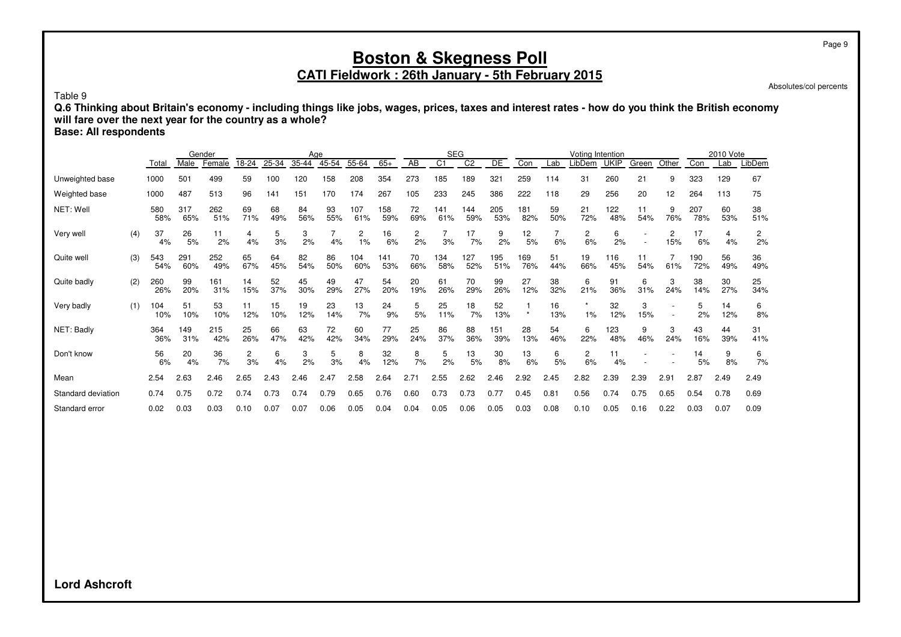Absolutes/col percents

Table 9

**Q.6 Thinking about Britain's economy - including things like jobs, wages, prices, taxes and interest rates - how do you think the British economy will fare over the next year for the country as a whole?**

**Base: All respondents**

|                    |     |            |            | Gender     |           |           |           | Age       |            |            |           |                | <b>SEG</b>      |            |                       |           | Voting Intention     |             |           |          |            | 2010 Vote |                      |
|--------------------|-----|------------|------------|------------|-----------|-----------|-----------|-----------|------------|------------|-----------|----------------|-----------------|------------|-----------------------|-----------|----------------------|-------------|-----------|----------|------------|-----------|----------------------|
|                    |     | Total      | Male       | Female     | 18-24     | 25-34     | 35-44     | 45-54     | 55-64      | $65+$      | AB        | C <sub>1</sub> | $\overline{C2}$ | DE         | Con                   | Lab       | .ibDem               | <b>UKIP</b> | Green     | Other    | Con        | Lab       | LibDem               |
| Unweighted base    |     | 1000       | 501        | 499        | 59        | 100       | 120       | 158       | 208        | 354        | 273       | 185            | 189             | 321        | 259                   | 114       | 31                   | 260         | 21        | 9        | 323        | 129       | 67                   |
| Weighted base      |     | 1000       | 487        | 513        | 96        | 141       | 151       | 170       | 174        | 267        | 105       | 233            | 245             | 386        | 222                   | 118       | 29                   | 256         | 20        | 12       | 264        | 113       | 75                   |
| NET: Well          |     | 580<br>58% | 317<br>65% | 262<br>51% | 69<br>71% | 68<br>49% | 84<br>56% | 93<br>55% | 107<br>61% | 158<br>59% | 72<br>69% | 141<br>61%     | 144<br>59%      | 205<br>53% | 181<br>82%            | 59<br>50% | 21<br>72%            | 122<br>48%  | 11<br>54% | 9<br>76% | 207<br>78% | 60<br>53% | 38<br>51%            |
| Very well          | (4) | 37<br>4%   | 26<br>5%   | 11<br>2%   | 4<br>4%   | 5<br>3%   | 3<br>2%   | 4%        | 2<br>1%    | 16<br>6%   | 2<br>2%   | 3%             | 17<br>7%        | 9<br>2%    | 12 <sub>2</sub><br>5% | 6%        | 2<br>6%              | 6<br>2%     |           | 2<br>15% | 17<br>6%   | 4<br>4%   | $\overline{c}$<br>2% |
| Quite well         | (3) | 543<br>54% | 291<br>60% | 252<br>49% | 65<br>67% | 64<br>45% | 82<br>54% | 86<br>50% | 104<br>60% | 141<br>53% | 70<br>66% | 134<br>58%     | 127<br>52%      | 195<br>51% | 169<br>76%            | 51<br>44% | 19<br>66%            | 116<br>45%  | 11<br>54% | 61%      | 190<br>72% | 56<br>49% | 36<br>49%            |
| Quite badly        | (2) | 260<br>26% | 99<br>20%  | 161<br>31% | 14<br>15% | 52<br>37% | 45<br>30% | 49<br>29% | 47<br>27%  | 54<br>20%  | 20<br>19% | 61<br>26%      | 70<br>29%       | 99<br>26%  | 27<br>12%             | 38<br>32% | 6<br>21%             | 91<br>36%   | 6<br>31%  | 3<br>24% | 38<br>14%  | 30<br>27% | 25<br>34%            |
| Very badly         | (1) | 104<br>10% | 51<br>10%  | 53<br>10%  | 11<br>12% | 15<br>10% | 19<br>12% | 23<br>14% | 13<br>7%   | 24<br>9%   | 5<br>5%   | 25<br>11%      | 18<br>7%        | 52<br>13%  | $\star$               | 16<br>13% | 1%                   | 32<br>12%   | 3<br>15%  |          | 5<br>2%    | 14<br>12% | 6<br>8%              |
| NET: Badly         |     | 364<br>36% | 149<br>31% | 215<br>42% | 25<br>26% | 66<br>47% | 63<br>42% | 72<br>42% | 60<br>34%  | 77<br>29%  | 25<br>24% | 86<br>37%      | 88<br>36%       | 151<br>39% | 28<br>13%             | 54<br>46% | 6<br>22%             | 123<br>48%  | 9<br>46%  | 3<br>24% | 43<br>16%  | 44<br>39% | 31<br>41%            |
| Don't know         |     | 56<br>6%   | 20<br>4%   | 36<br>7%   | 2<br>3%   | 6<br>4%   | 3<br>2%   | 5<br>3%   | 8<br>4%    | 32<br>12%  | 8<br>7%   | 5<br>2%        | 13<br>5%        | 30<br>8%   | 13<br>6%              | 6<br>5%   | $\overline{2}$<br>6% | 11<br>4%    |           |          | 14<br>5%   | 9<br>8%   | 6<br>7%              |
| Mean               |     | 2.54       | 2.63       | 2.46       | 2.65      | 2.43      | 2.46      | 2.47      | 2.58       | 2.64       | 2.71      | 2.55           | 2.62            | 2.46       | 2.92                  | 2.45      | 2.82                 | 2.39        | 2.39      | 2.91     | 2.87       | 2.49      | 2.49                 |
| Standard deviation |     | 0.74       | 0.75       | 0.72       | 0.74      | 0.73      | 0.74      | 0.79      | 0.65       | 0.76       | 0.60      | 0.73           | 0.73            | 0.77       | 0.45                  | 0.81      | 0.56                 | 0.74        | 0.75      | 0.65     | 0.54       | 0.78      | 0.69                 |
| Standard error     |     | 0.02       | 0.03       | 0.03       | 0.10      | 0.07      | 0.07      | 0.06      | 0.05       | 0.04       | 0.04      | 0.05           | 0.06            | 0.05       | 0.03                  | 0.08      | 0.10                 | 0.05        | 0.16      | 0.22     | 0.03       | 0.07      | 0.09                 |

**Lord Ashcroft**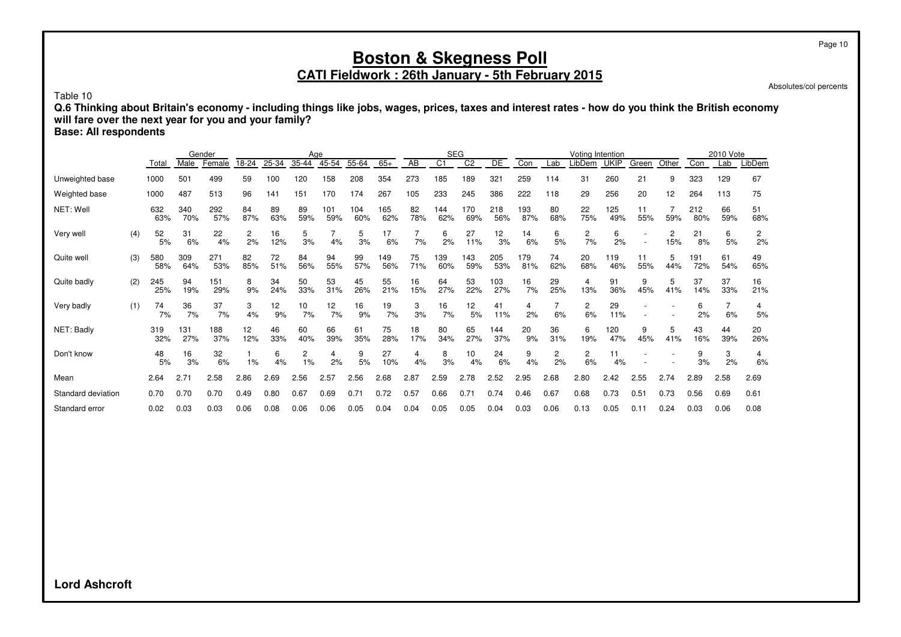## **Boston & Skegness Poll CATI Fieldwork : 26th January - 5th February 2015**

Absolutes/col percents

Table 10

**Q.6 Thinking about Britain's economy - including things like jobs, wages, prices, taxes and interest rates - how do you think the British economy will fare over the next year for you and your family?**

**Base: All respondents**

|                    |     |            |            | Gender     |           |           |           | Age        |            |            |           |                | <b>SEG</b>     |                 |            |           | Voting Intention |             |           |          |            | 2010 Vote |           |
|--------------------|-----|------------|------------|------------|-----------|-----------|-----------|------------|------------|------------|-----------|----------------|----------------|-----------------|------------|-----------|------------------|-------------|-----------|----------|------------|-----------|-----------|
|                    |     | Total      | Male       | Female     | 18-24     | 25-34     | 35-44     | 45-54      | 55-64      | $65+$      | AB        | C <sub>1</sub> | C <sub>2</sub> | DE              | Con        | Lab       | LibDem           | <b>UKIP</b> | Green     | Other    | Con        | Lab       | LibDem    |
| Unweighted base    |     | 1000       | 501        | 499        | 59        | 100       | 120       | 158        | 208        | 354        | 273       | 185            | 189            | 32 <sup>1</sup> | 259        | 114       | 31               | 260         | 21        | 9        | 323        | 129       | 67        |
| Weighted base      |     | 1000       | 487        | 513        | 96        | 141       | 151       | 170        | 174        | 267        | 105       | 233            | 245            | 386             | 222        | 118       | 29               | 256         | 20        | 12       | 264        | 113       | 75        |
| NET: Well          |     | 632<br>63% | 340<br>70% | 292<br>57% | 84<br>87% | 89<br>63% | 89<br>59% | 101<br>59% | 104<br>60% | 165<br>62% | 82<br>78% | 144<br>62%     | 170<br>69%     | 218<br>56%      | 193<br>87% | 80<br>68% | 22<br>75%        | 125<br>49%  | 11<br>55% | 59%      | 212<br>80% | 66<br>59% | 51<br>68% |
| Very well          | (4) | 52<br>5%   | 31<br>6%   | 22<br>4%   | 2<br>2%   | 16<br>12% | 5<br>3%   | 4%         | 5<br>3%    | 17<br>6%   | 7%        | 6<br>2%        | 27<br>11%      | 12<br>3%        | 14<br>6%   | 6<br>5%   | 2<br>7%          | 6<br>2%     |           | 2<br>15% | 21<br>8%   | 6<br>5%   | 2<br>2%   |
| Quite well         | (3) | 580<br>58% | 309<br>64% | 271<br>53% | 82<br>85% | 72<br>51% | 84<br>56% | 94<br>55%  | 99<br>57%  | 149<br>56% | 75<br>71% | 139<br>60%     | 143<br>59%     | 205<br>53%      | 179<br>81% | 74<br>62% | 20<br>68%        | 119<br>46%  | 11<br>55% | 5<br>44% | 191<br>72% | 61<br>54% | 49<br>65% |
| Quite badly        | (2) | 245<br>25% | 94<br>19%  | 151<br>29% | 8<br>9%   | 34<br>24% | 50<br>33% | 53<br>31%  | 45<br>26%  | 55<br>21%  | 16<br>15% | 64<br>27%      | 53<br>22%      | 103<br>27%      | 16<br>7%   | 29<br>25% | 4<br>13%         | 91<br>36%   | 9<br>45%  | 5<br>41% | 37<br>14%  | 37<br>33% | 16<br>21% |
| Very badly         | (1) | 74<br>7%   | 36<br>7%   | 37<br>7%   | 3<br>4%   | 12<br>9%  | 10<br>7%  | 12<br>7%   | 16<br>9%   | 19<br>7%   | 3<br>3%   | 16<br>7%       | 12<br>5%       | 41<br>11%       | 4<br>2%    | 6%        | 2<br>6%          | 29<br>11%   |           |          | 6<br>2%    | 6%        | 4<br>5%   |
| NET: Badly         |     | 319<br>32% | 131<br>27% | 188<br>37% | 12<br>12% | 46<br>33% | 60<br>40% | 66<br>39%  | 61<br>35%  | 75<br>28%  | 18<br>17% | 80<br>34%      | 65<br>27%      | 144<br>37%      | 20<br>9%   | 36<br>31% | 6<br>19%         | 120<br>47%  | 9<br>45%  | 5<br>41% | 43<br>16%  | 44<br>39% | 20<br>26% |
| Don't know         |     | 48<br>5%   | 16<br>3%   | 32<br>6%   | 1%        | 6<br>4%   | 2<br>1%   | 4<br>2%    | 9<br>5%    | 27<br>10%  | 4<br>4%   | 8<br>3%        | 10<br>4%       | 24<br>6%        | 9<br>4%    | 2<br>2%   | 2<br>6%          | 11<br>4%    |           |          | 9<br>3%    | 3<br>2%   | 4<br>6%   |
| Mean               |     | 2.64       | 2.71       | 2.58       | 2.86      | 2.69      | 2.56      | 2.57       | 2.56       | 2.68       | 2.87      | 2.59           | 2.78           | 2.52            | 2.95       | 2.68      | 2.80             | 2.42        | 2.55      | 2.74     | 2.89       | 2.58      | 2.69      |
| Standard deviation |     | 0.70       | 0.70       | 0.70       | 0.49      | 0.80      | 0.67      | 0.69       | 0.71       | 0.72       | 0.57      | 0.66           | 0.71           | 0.74            | 0.46       | 0.67      | 0.68             | 0.73        | 0.51      | 0.73     | 0.56       | 0.69      | 0.61      |
| Standard error     |     | 0.02       | 0.03       | 0.03       | 0.06      | 0.08      | 0.06      | 0.06       | 0.05       | 0.04       | 0.04      | 0.05           | 0.05           | 0.04            | 0.03       | 0.06      | 0.13             | 0.05        | 0.11      | 0.24     | 0.03       | 0.06      | 0.08      |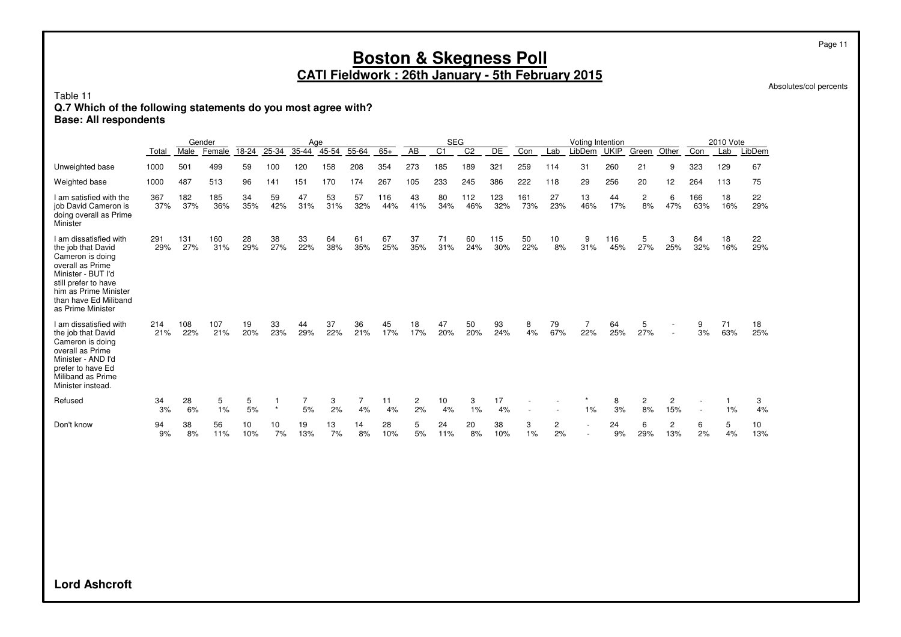# **Boston & Skegness Poll**

**CATI Fieldwork : 26th January - 5th February 2015**

Absolutes/col percents

Table 11

#### **Q.7 Which of the following statements do you most agree with?**

**Base: All respondents**

|                                                                                                                                                                                                           |            |            | Gender     |           |           | Aae       |           |           |            |           | <b>SEG</b>     |                |            |            |                    | Votina Intention |             |          |                                    |                          | 2010 Vote |           |
|-----------------------------------------------------------------------------------------------------------------------------------------------------------------------------------------------------------|------------|------------|------------|-----------|-----------|-----------|-----------|-----------|------------|-----------|----------------|----------------|------------|------------|--------------------|------------------|-------------|----------|------------------------------------|--------------------------|-----------|-----------|
|                                                                                                                                                                                                           | Total      | Male       | Female     | 18-24     | 25-34     | 35-44     | 45-54     | 55-64     | $65+$      | AB        | C <sub>1</sub> | C <sub>2</sub> | DE         | Con        | Lab                | LibDem           | <b>UKIP</b> | Green    | Other                              | Con                      | Lab       | LibDem    |
| Unweighted base                                                                                                                                                                                           | 1000       | 501        | 499        | 59        | 100       | 120       | 158       | 208       | 354        | 273       | 185            | 189            | 321        | 259        | 114                | 31               | 260         | 21       | 9                                  | 323                      | 129       | 67        |
| Weighted base                                                                                                                                                                                             | 1000       | 487        | 513        | 96        | 141       | 151       | 170       | 174       | 267        | 105       | 233            | 245            | 386        | 222        | 118                | 29               | 256         | 20       | 12                                 | 264                      | 113       | 75        |
| I am satisfied with the<br>job David Cameron is<br>doing overall as Prime<br>Minister                                                                                                                     | 367<br>37% | 182<br>37% | 185<br>36% | 34<br>35% | 59<br>42% | 47<br>31% | 53<br>31% | 57<br>32% | 116<br>44% | 43<br>41% | 80<br>34%      | 112<br>46%     | 123<br>32% | 161<br>73% | 27<br>23%          | 13<br>46%        | 44<br>17%   | 2<br>8%  | 6<br>47%                           | 166<br>63%               | 18<br>16% | 22<br>29% |
| I am dissatisfied with<br>the job that David<br>Cameron is doing<br>overall as Prime<br>Minister - BUT I'd<br>still prefer to have<br>him as Prime Minister<br>than have Ed Miliband<br>as Prime Minister | 291<br>29% | 131<br>27% | 160<br>31% | 28<br>29% | 38<br>27% | 33<br>22% | 64<br>38% | 61<br>35% | 67<br>25%  | 37<br>35% | 71<br>31%      | 60<br>24%      | 115<br>30% | 50<br>22%  | 10<br>8%           | 9<br>31%         | 116<br>45%  | 5<br>27% | 3<br>25%                           | 84<br>32%                | 18<br>16% | 22<br>29% |
| I am dissatisfied with<br>the job that David<br>Cameron is doing<br>overall as Prime<br>Minister - AND I'd<br>prefer to have Ed<br>Miliband as Prime<br>Minister instead.                                 | 214<br>21% | 108<br>22% | 107<br>21% | 19<br>20% | 33<br>23% | 44<br>29% | 37<br>22% | 36<br>21% | 45<br>17%  | 18<br>17% | 47<br>20%      | 50<br>20%      | 93<br>24%  | 8<br>4%    | 79<br>67%          | 22%              | 64<br>25%   | 5<br>27% | $\overline{\phantom{a}}$<br>$\sim$ | 9<br>3%                  | 71<br>63% | 18<br>25% |
| Refused                                                                                                                                                                                                   | 34<br>3%   | 28<br>6%   | 5<br>1%    | 5<br>5%   | $\star$   | 7<br>5%   | 3<br>2%   | 7<br>4%   | 11<br>4%   | 2<br>2%   | 10<br>4%       | 3<br>1%        | 17<br>4%   |            |                    | 1%               | 8<br>3%     | 2<br>8%  | $\overline{c}$<br>15%              | $\overline{\phantom{a}}$ | 1%        | 3<br>4%   |
| Don't know                                                                                                                                                                                                | 94<br>9%   | 38<br>8%   | 56<br>11%  | 10<br>10% | 10<br>7%  | 19<br>13% | 13<br>7%  | 14<br>8%  | 28<br>10%  | 5<br>5%   | 24<br>11%      | 20<br>8%       | 38<br>10%  | 3<br>1%    | $\mathbf{2}$<br>2% |                  | 24<br>9%    | 6<br>29% | $\overline{c}$<br>13%              | 6<br>2%                  | 5<br>4%   | 10<br>13% |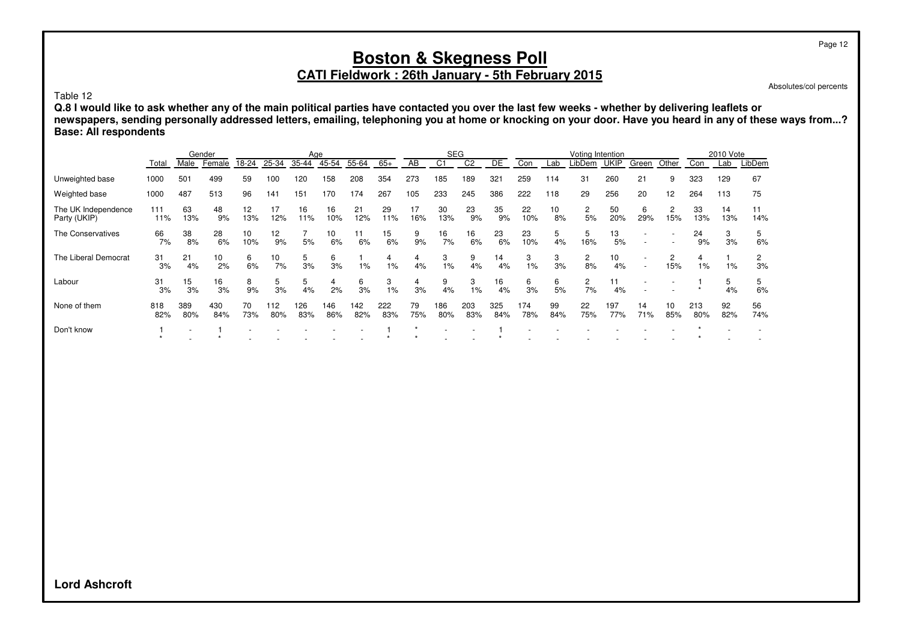# **CATI Fieldwork : 26th January - 5th February 2015**

Absolutes/col percents

Table 12

**Q.8 I would like to ask whether any of the main political parties have contacted you over the last few weeks - whether by delivering leaflets or newspapers, sending personally addressed letters, emailing, telephoning you at home or knocking on your door. Have you heard in any of these ways from...? Base: All respondents**

|                                     |            |                          | Gender     |           |            | Age        |            |            |            |           | <b>SEG</b> |                |            |            |           | Voting Intention     |             |           |           |            | 2010 Vote |           |
|-------------------------------------|------------|--------------------------|------------|-----------|------------|------------|------------|------------|------------|-----------|------------|----------------|------------|------------|-----------|----------------------|-------------|-----------|-----------|------------|-----------|-----------|
|                                     | Total      | Male                     | Female     | 18-24     | 25-34      | 35-44      | 45-54      | 55-64      | $65+$      | AB        | C1         | C <sub>2</sub> | DE         | Con        | Lab       | _ibDem               | <b>UKIP</b> | Green     | Other     | Con        | Lab       | LibDem    |
| Unweighted base                     | 1000       | 501                      | 499        | 59        | 100        | 120        | 158        | 208        | 354        | 273       | 185        | 189            | 321        | 259        | 114       | 31                   | 260         | 21        | 9         | 323        | 129       | 67        |
| Weighted base                       | 1000       | 487                      | 513        | 96        | 141        | 151        | 170        | 174        | 267        | 105       | 233        | 245            | 386        | 222        | 118       | 29                   | 256         | 20        | 12        | 264        | 113       | 75        |
| The UK Independence<br>Party (UKIP) | 111<br>11% | 63<br>13%                | 48<br>9%   | 12<br>13% | 17<br>12%  | 16<br>11%  | 16<br>10%  | 21<br>12%  | 29<br>11%  | 17<br>16% | 30<br>13%  | 23<br>9%       | 35<br>9%   | 22<br>10%  | 10<br>8%  | 2<br>5%              | 50<br>20%   | 6<br>29%  | 2<br>15%  | 33<br>13%  | 14<br>13% | 11<br>14% |
| The Conservatives                   | 66<br>7%   | 38<br>8%                 | 28<br>6%   | 10<br>10% | 12<br>9%   | 5%         | 10<br>6%   | 11<br>6%   | 15<br>6%   | 9<br>9%   | 16<br>7%   | 16<br>6%       | 23<br>6%   | 23<br>10%  | 5<br>4%   | 5<br>16%             | 13<br>5%    | ٠         |           | 24<br>9%   | 3<br>3%   | 5<br>6%   |
| The Liberal Democrat                | 31<br>3%   | 21<br>4%                 | 10<br>2%   | 6<br>6%   | 10<br>7%   | 5<br>3%    | 6<br>3%    | $1\%$      | 4<br>$1\%$ | 4<br>4%   | 3<br>$1\%$ | 9<br>4%        | 14<br>4%   | 3<br>1%    | 3<br>3%   | 2<br>8%              | 10<br>4%    |           | 2<br>15%  | 4<br>$1\%$ | $1\%$     | 2<br>3%   |
| Labour                              | 31<br>3%   | 15<br>3%                 | 16<br>3%   | 8<br>9%   | 5<br>3%    | 5<br>4%    | 4<br>2%    | 6<br>3%    | 3<br>$1\%$ | 4<br>3%   | 9<br>4%    | 3<br>$1\%$     | 16<br>4%   | 6<br>3%    | 6<br>5%   | $\overline{c}$<br>7% | 11<br>4%    |           |           |            | 5<br>4%   | 5<br>6%   |
| None of them                        | 818<br>82% | 389<br>80%               | 430<br>84% | 70<br>73% | 112<br>80% | 126<br>83% | 146<br>86% | 142<br>82% | 222<br>83% | 79<br>75% | 186<br>80% | 203<br>83%     | 325<br>84% | 174<br>78% | 99<br>84% | 22<br>75%            | 197<br>77%  | 14<br>71% | 10<br>85% | 213<br>80% | 92<br>82% | 56<br>74% |
| Don't know                          |            | $\overline{\phantom{a}}$ |            |           |            |            |            |            |            |           |            |                |            |            |           |                      |             |           |           |            |           |           |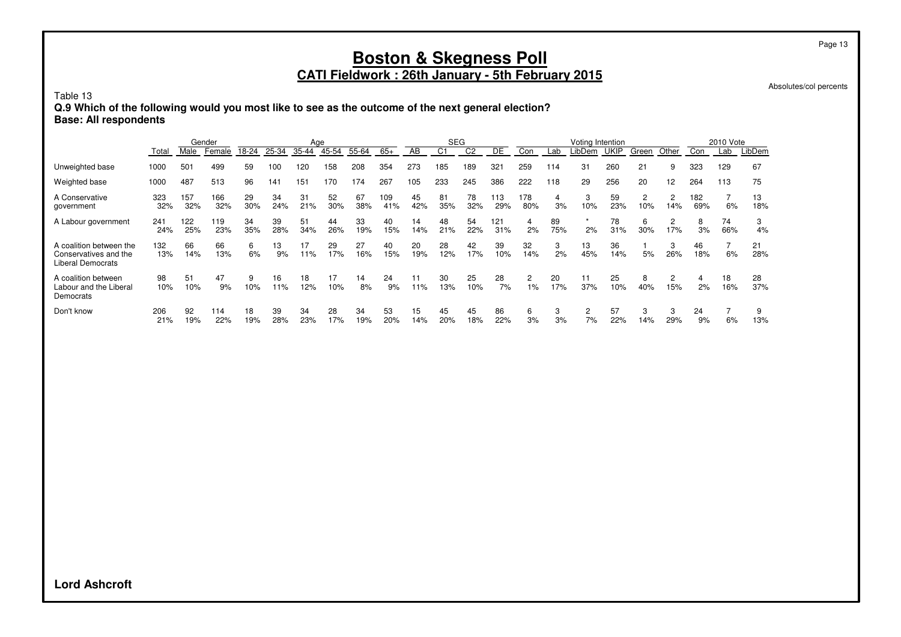# **Boston & Skegness Poll**

#### **CATI Fieldwork : 26th January - 5th February 2015**

Absolutes/col percents

Table 13

**Q.9 Which of the following would you most like to see as the outcome of the next general election? Base: All respondents**

|                                                                              | Gender     |            |            | Age       |           |           |           |           | <b>SEG</b> |           |                |           | Voting Intention |                      |           |                      |             | 2010 Vote             |                       |            |           |           |
|------------------------------------------------------------------------------|------------|------------|------------|-----------|-----------|-----------|-----------|-----------|------------|-----------|----------------|-----------|------------------|----------------------|-----------|----------------------|-------------|-----------------------|-----------------------|------------|-----------|-----------|
|                                                                              | Total      | Male       | Female     | 18-24     | 25-34     | 35-44     | 45-54     | 55-64     | $65+$      | AB        | C <sub>1</sub> | C2        | DE               | Con                  | Lab       | LibDem               | <b>UKIP</b> | Green                 | Other                 | Con        | Lab       | LibDem    |
| Unweighted base                                                              | 1000       | 501        | 499        | 59        | 100       | 120       | 158       | 208       | 354        | 273       | 185            | 189       | 321              | 259                  | 114       | 31                   | 260         | 21                    | 9                     | 323        | 129       | 67        |
| Weighted base                                                                | 1000       | 487        | 513        | 96        | 141       | 151       | 170       | 174       | 267        | 105       | 233            | 245       | 386              | 222                  | 118       | 29                   | 256         | 20                    | 12                    | 264        | 113       | 75        |
| A Conservative<br>government                                                 | 323<br>32% | 157<br>32% | 166<br>32% | 29<br>30% | 34<br>24% | 31<br>21% | 52<br>30% | 67<br>38% | 109<br>41% | 45<br>42% | 81<br>35%      | 78<br>32% | 113<br>29%       | 178<br>80%           | 4<br>3%   | 3<br>10%             | 59<br>23%   | $\overline{c}$<br>10% | $\overline{2}$<br>14% | 182<br>69% | 6%        | 13<br>18% |
| A Labour government                                                          | 241<br>24% | 122<br>25% | 119<br>23% | 34<br>35% | 39<br>28% | 51<br>34% | 44<br>26% | 33<br>19% | 40<br>15%  | 14<br>14% | 48<br>21%      | 54<br>22% | 121<br>31%       | 4<br>2%              | 89<br>75% | 2%                   | 78<br>31%   | 6<br>30%              | $\overline{c}$<br>17% | 8<br>3%    | 74<br>66% | 3<br>4%   |
| A coalition between the<br>Conservatives and the<br><b>Liberal Democrats</b> | 132<br>13% | 66<br>14%  | 66<br>13%  | 6<br>6%   | 13<br>9%  | 17<br>11% | 29<br>17% | 27<br>16% | 40<br>15%  | 20<br>19% | 28<br>12%      | 42<br>17% | 39<br>10%        | 32<br>14%            | 3<br>2%   | 13<br>45%            | 36<br>14%   | 5%                    | 3<br>26%              | 46<br>18%  | 6%        | 21<br>28% |
| A coalition between<br>Labour and the Liberal<br>Democrats                   | 98<br>10%  | 51<br>10%  | 47<br>9%   | 9<br>10%  | 16<br>11% | 18<br>12% | 17<br>10% | 14<br>8%  | 24<br>9%   | 11<br>11% | 30<br>13%      | 25<br>10% | 28<br>7%         | $\overline{2}$<br>1% | 20<br>17% | 11<br>37%            | 25<br>10%   | 8<br>40%              | 2<br>15%              | 4<br>2%    | 18<br>16% | 28<br>37% |
| Don't know                                                                   | 206<br>21% | 92<br>19%  | 114<br>22% | 18<br>19% | 39<br>28% | 34<br>23% | 28<br>17% | 34<br>19% | 53<br>20%  | 15<br>14% | 45<br>20%      | 45<br>18% | 86<br>22%        | 6<br>3%              | 3<br>3%   | $\overline{c}$<br>7% | 57<br>22%   | 3<br>14%              | 3<br>29%              | 24<br>9%   | 6%        | 13%       |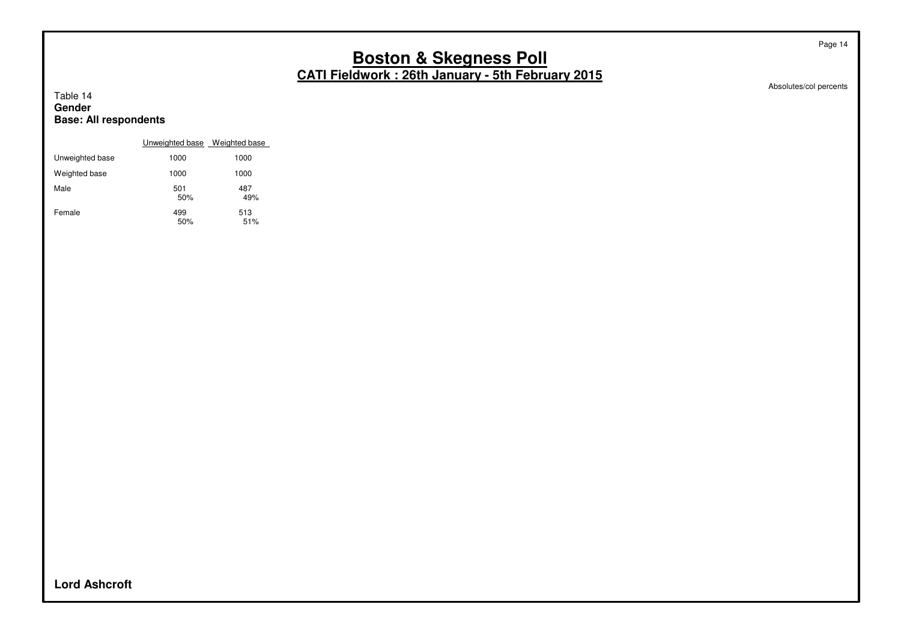Absolutes/col percents

Page 14

#### Table 14 **Gender Base: All respondents**

|                 | Unweighted base Weighted base |            |
|-----------------|-------------------------------|------------|
| Unweighted base | 1000                          | 1000       |
| Weighted base   | 1000                          | 1000       |
| Male            | 501<br>50%                    | 487<br>49% |
| Female          | 499<br>50%                    | 513<br>51% |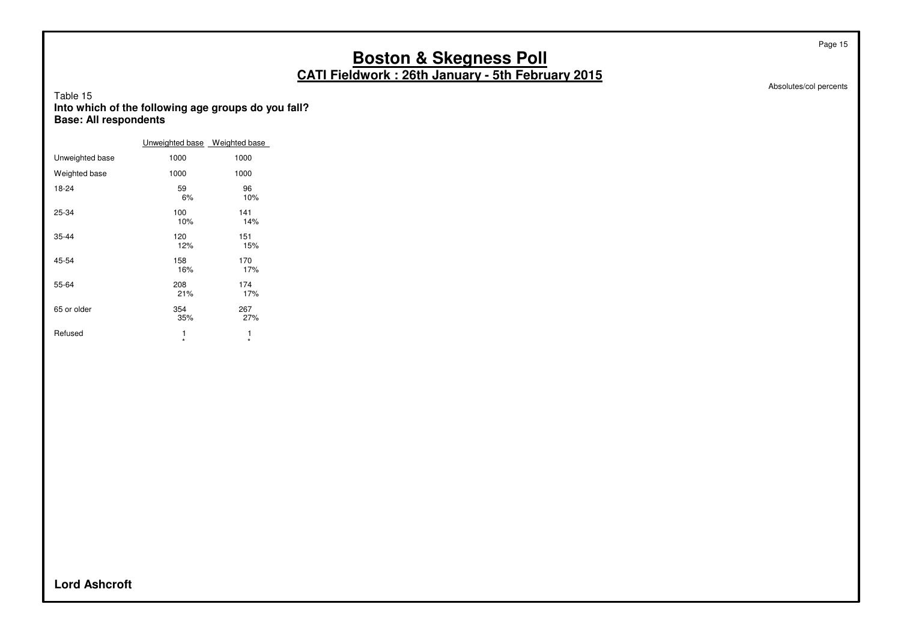Absolutes/col percents

Page 15

#### Table 15 **Into which of the following age groups do you fall? Base: All respondents**

|                 | Unweighted base Weighted base |              |
|-----------------|-------------------------------|--------------|
| Unweighted base | 1000                          | 1000         |
| Weighted base   | 1000                          | 1000         |
| 18-24           | 59<br>6%                      | 96<br>10%    |
| 25-34           | 100<br>10%                    | 141<br>14%   |
| 35-44           | 120<br>12%                    | 151<br>15%   |
| 45-54           | 158<br>16%                    | 170<br>17%   |
| 55-64           | 208<br>21%                    | 174<br>17%   |
| 65 or older     | 354<br>35%                    | 267<br>27%   |
| Refused         | 1<br>$\star$                  | 1<br>$\star$ |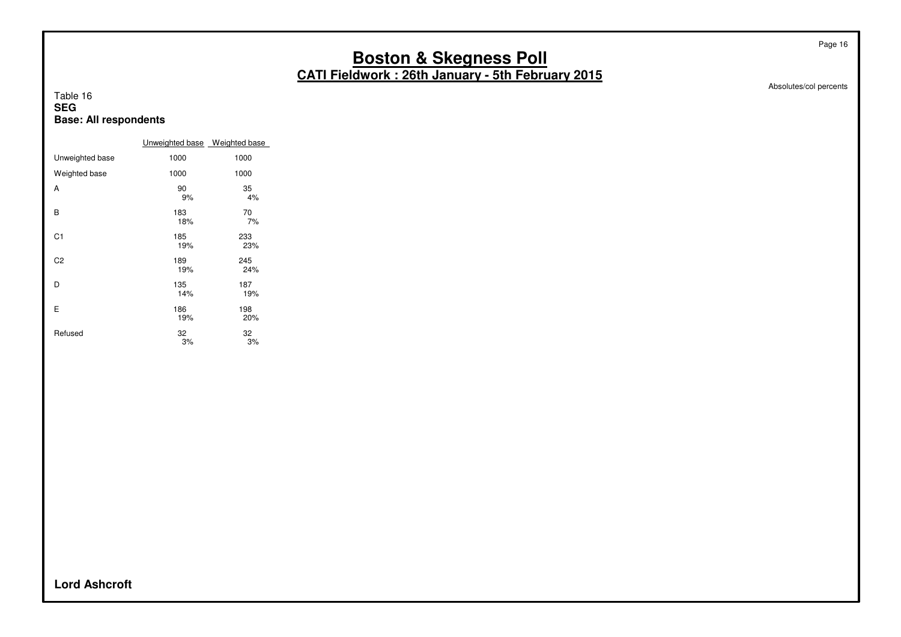Absolutes/col percents

Page 16

#### Table 16 **SEG Base: All respondents**

|                 | Unweighted base Weighted base |            |
|-----------------|-------------------------------|------------|
| Unweighted base | 1000                          | 1000       |
| Weighted base   | 1000                          | 1000       |
| A               | 90<br>9%                      | 35<br>4%   |
| B               | 183<br>18%                    | 70<br>7%   |
| C <sub>1</sub>  | 185<br>19%                    | 233<br>23% |
| C2              | 189<br>19%                    | 245<br>24% |
| D               | 135<br>14%                    | 187<br>19% |
| E               | 186<br>19%                    | 198<br>20% |
| Refused         | 32<br>3%                      | 32<br>3%   |